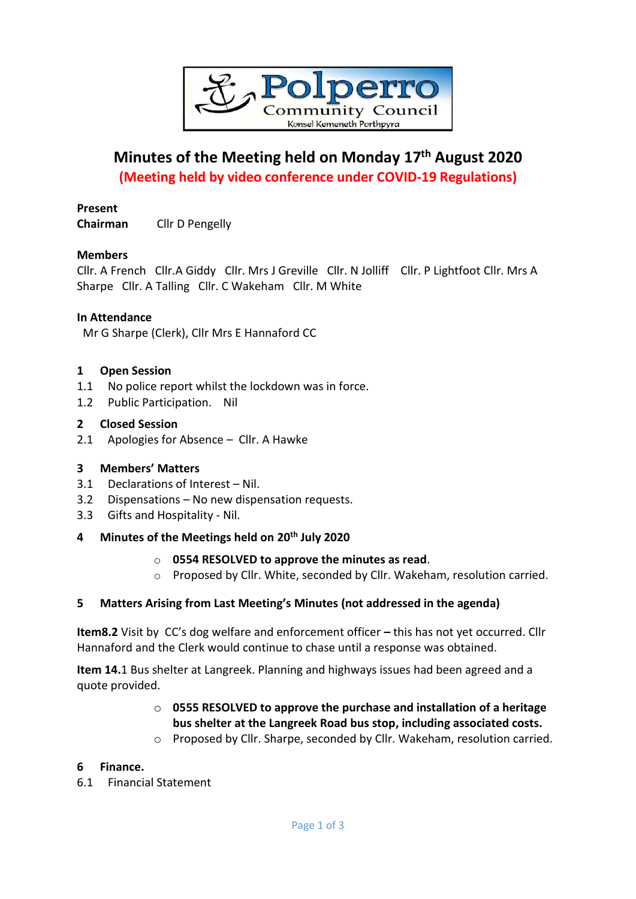

# **Minutes of the Meeting held on Monday 17th August 2020 (Meeting held by video conference under COVID-19 Regulations)**

# **Present**

**Chairman** Cllr D Pengelly

## **Members**

Cllr. A French Cllr.A Giddy Cllr. Mrs J Greville Cllr. N Jolliff Cllr. P Lightfoot Cllr. Mrs A Sharpe Cllr. A Talling Cllr. C Wakeham Cllr. M White

## **In Attendance**

Mr G Sharpe (Clerk), Cllr Mrs E Hannaford CC

#### **1 Open Session**

- 1.1 No police report whilst the lockdown was in force.
- 1.2 Public Participation. Nil

#### **2 Closed Session**

2.1 Apologies for Absence – Cllr. A Hawke

#### **3 Members' Matters**

- 3.1 Declarations of Interest Nil.
- 3.2 Dispensations No new dispensation requests.
- 3.3 Gifts and Hospitality Nil.

# **4 Minutes of the Meetings held on 20th July 2020**

#### o **0554 RESOLVED to approve the minutes as read**.

o Proposed by Cllr. White, seconded by Cllr. Wakeham, resolution carried.

#### **5 Matters Arising from Last Meeting's Minutes (not addressed in the agenda)**

**Item8.2** Visit by CC's dog welfare and enforcement officer **–** this has not yet occurred. Cllr Hannaford and the Clerk would continue to chase until a response was obtained.

**Item 14.**1 Bus shelter at Langreek. Planning and highways issues had been agreed and a quote provided.

# o **0555 RESOLVED to approve the purchase and installation of a heritage bus shelter at the Langreek Road bus stop, including associated costs.**

o Proposed by Cllr. Sharpe, seconded by Cllr. Wakeham, resolution carried.

#### **6 Finance.**

6.1 Financial Statement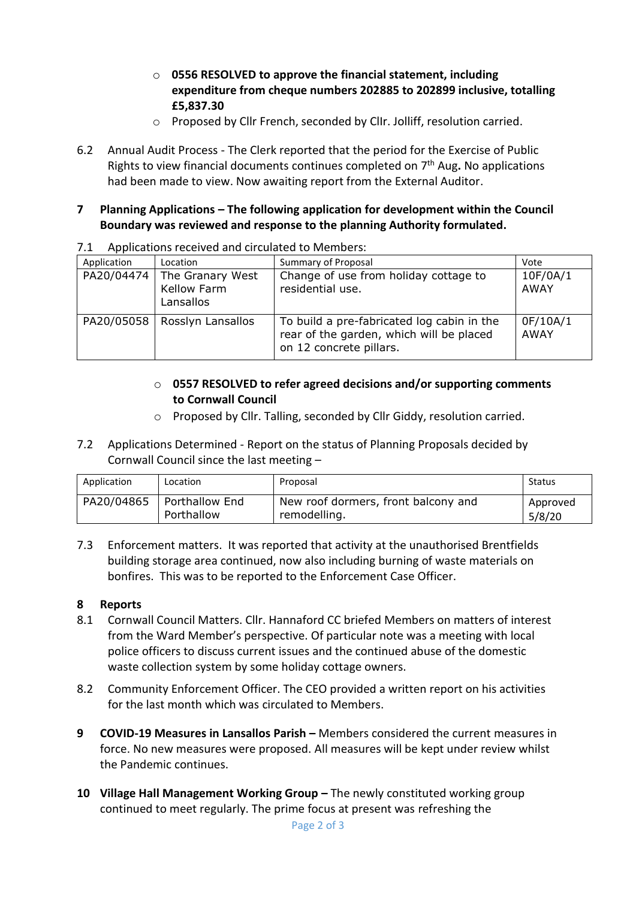- o **0556 RESOLVED to approve the financial statement, including expenditure from cheque numbers 202885 to 202899 inclusive, totalling £5,837.30**
- o Proposed by Cllr French, seconded by ClIr. Jolliff, resolution carried.
- 6.2 Annual Audit Process The Clerk reported that the period for the Exercise of Public Rights to view financial documents continues completed on 7 th Aug**.** No applications had been made to view. Now awaiting report from the External Auditor.

# **7 Planning Applications – The following application for development within the Council Boundary was reviewed and response to the planning Authority formulated.**

| Application | Location                                     | Summary of Proposal                                                                                               | Vote                    |
|-------------|----------------------------------------------|-------------------------------------------------------------------------------------------------------------------|-------------------------|
| PA20/04474  | The Granary West<br>Kellow Farm<br>Lansallos | Change of use from holiday cottage to<br>residential use.                                                         | 10F/0A/1<br><b>AWAY</b> |
| PA20/05058  | Rosslyn Lansallos                            | To build a pre-fabricated log cabin in the<br>rear of the garden, which will be placed<br>on 12 concrete pillars. | 0F/10A/1<br><b>AWAY</b> |

7.1 Applications received and circulated to Members:

# o **0557 RESOLVED to refer agreed decisions and/or supporting comments to Cornwall Council**

- o Proposed by Cllr. Talling, seconded by Cllr Giddy, resolution carried.
- 7.2 Applications Determined Report on the status of Planning Proposals decided by Cornwall Council since the last meeting –

| Application | Location       | Proposal                            | Status   |
|-------------|----------------|-------------------------------------|----------|
| PA20/04865  | Porthallow End | New roof dormers, front balcony and | Approved |
|             | Porthallow     | remodelling.                        | 5/8/20   |

7.3 Enforcement matters. It was reported that activity at the unauthorised Brentfields building storage area continued, now also including burning of waste materials on bonfires. This was to be reported to the Enforcement Case Officer.

# **8 Reports**

- 8.1 Cornwall Council Matters. Cllr. Hannaford CC briefed Members on matters of interest from the Ward Member's perspective. Of particular note was a meeting with local police officers to discuss current issues and the continued abuse of the domestic waste collection system by some holiday cottage owners.
- 8.2 Community Enforcement Officer. The CEO provided a written report on his activities for the last month which was circulated to Members.
- **9 COVID-19 Measures in Lansallos Parish –** Members considered the current measures in force. No new measures were proposed. All measures will be kept under review whilst the Pandemic continues.
- **10 Village Hall Management Working Group –** The newly constituted working group continued to meet regularly. The prime focus at present was refreshing the